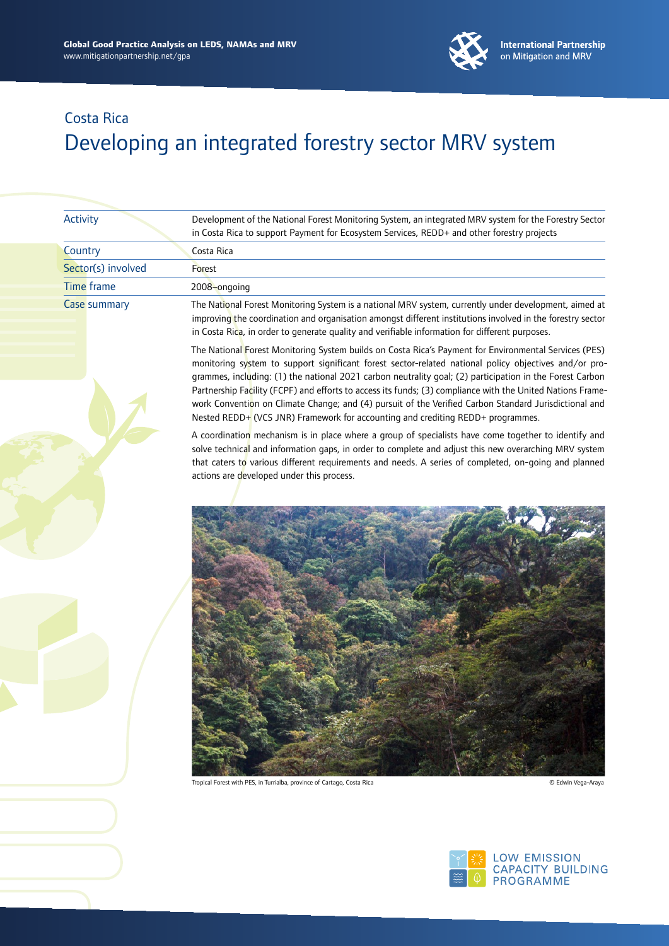

| <b>Activity</b>     | Development of the National Forest Monitoring System, an integrated MRV system for the Forestry Sector<br>in Costa Rica to support Payment for Ecosystem Services, REDD+ and other forestry projects                                                                                                                                                                                                                                                                                                                                                                                                                                 |
|---------------------|--------------------------------------------------------------------------------------------------------------------------------------------------------------------------------------------------------------------------------------------------------------------------------------------------------------------------------------------------------------------------------------------------------------------------------------------------------------------------------------------------------------------------------------------------------------------------------------------------------------------------------------|
| Country             | Costa Rica                                                                                                                                                                                                                                                                                                                                                                                                                                                                                                                                                                                                                           |
| Sector(s) involved  | Forest                                                                                                                                                                                                                                                                                                                                                                                                                                                                                                                                                                                                                               |
| Time frame          | 2008-ongoing                                                                                                                                                                                                                                                                                                                                                                                                                                                                                                                                                                                                                         |
| <b>Case summary</b> | The National Forest Monitoring System is a national MRV system, currently under development, aimed at<br>improving the coordination and organisation amongst different institutions involved in the forestry sector<br>in Costa Rica, in order to generate quality and verifiable information for different purposes.                                                                                                                                                                                                                                                                                                                |
|                     | The National Forest Monitoring System builds on Costa Rica's Payment for Environmental Services (PES)<br>monitoring system to support significant forest sector-related national policy objectives and/or pro-<br>grammes, including: (1) the national 2021 carbon neutrality goal; (2) participation in the Forest Carbon<br>Partnership Facility (FCPF) and efforts to access its funds; (3) compliance with the United Nations Frame-<br>work Convention on Climate Change; and (4) pursuit of the Verified Carbon Standard Jurisdictional and<br>Nested REDD+ (VCS JNR) Framework for accounting and crediting REDD+ programmes. |
|                     | A coordination mechanism is in place where a group of specialists have come together to identify and<br>solve technical and information gaps, in order to complete and adjust this new overarching MRV system<br>that caters to various different requirements and needs. A series of completed, on-qoing and planned<br>actions are developed under this process.                                                                                                                                                                                                                                                                   |
|                     |                                                                                                                                                                                                                                                                                                                                                                                                                                                                                                                                                                                                                                      |
|                     |                                                                                                                                                                                                                                                                                                                                                                                                                                                                                                                                                                                                                                      |



Tropical Forest with PES, in Turrialba, province of Cartago, Costa Rica © Edwin Vega-Araya

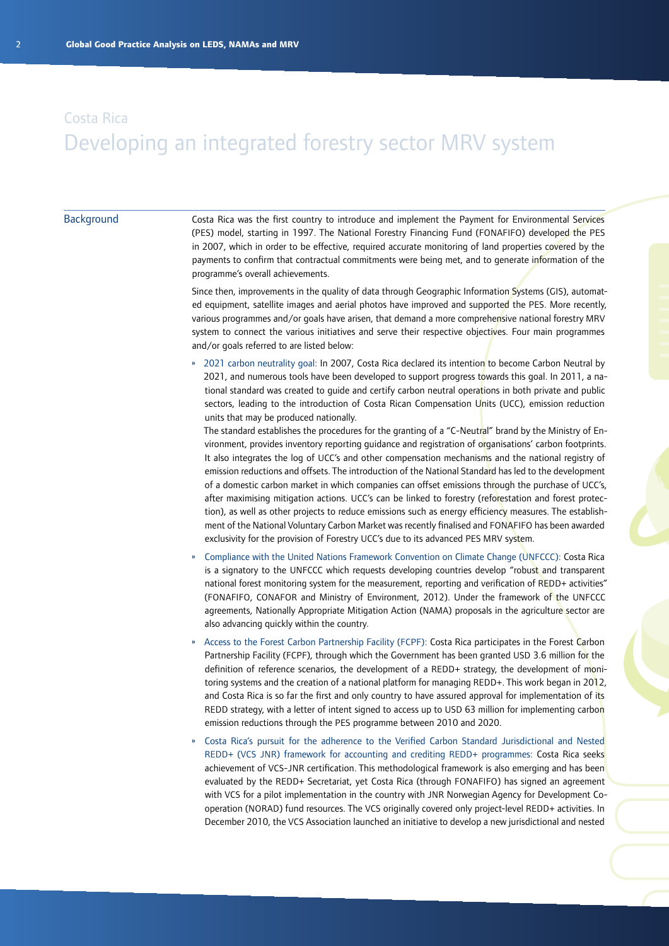#### **Background**

Costa Rica was the first country to introduce and implement the Payment for Environmental Services (PES) model, starting in 1997. The National Forestry Financing Fund (FONAFIFO) developed the PES in 2007, which in order to be effective, required accurate monitoring of land properties covered by the payments to confirm that contractual commitments were being met, and to generate information of the programme's overall achievements.

Since then, improvements in the quality of data through Geographic Information Systems (GIS), automated equipment, satellite images and aerial photos have improved and supported the PES. More recently, various programmes and/or goals have arisen, that demand a more comprehensive national forestry MRV system to connect the various initiatives and serve their respective objectives. Four main programmes and/or goals referred to are listed below:

» 2021 carbon neutrality goal: In 2007, Costa Rica declared its intention to become Carbon Neutral by 2021, and numerous tools have been developed to support progress towards this goal. In 2011, a national standard was created to guide and certify carbon neutral operations in both private and public sectors, leading to the introduction of Costa Rican Compensation Units (UCC), emission reduction units that may be produced nationally.

The standard establishes the procedures for the granting of a "C-Neutral" brand by the Ministry of Environment, provides inventory reporting guidance and registration of organisations' carbon footprints. It also integrates the log of UCC's and other compensation mechanisms and the national registry of emission reductions and offsets. The introduction of the National Standard has led to the development of a domestic carbon market in which companies can offset emissions through the purchase of UCC's, after maximising mitigation actions. UCC's can be linked to forestry (reforestation and forest protection), as well as other projects to reduce emissions such as energy efficiency measures. The establishment of the National Voluntary Carbon Market was recently finalised and FONAFIFO has been awarded exclusivity for the provision of Forestry UCC's due to its advanced PES MRV system.

- » Compliance with the United Nations Framework Convention on Climate Change (UNFCCC): Costa Rica is a signatory to the UNFCCC which requests developing countries develop "robust and transparent national forest monitoring system for the measurement, reporting and verification of REDD+ activities" (FONAFIFO, CONAFOR and Ministry of Environment, 2012). Under the framework of the UNFCCC agreements, Nationally Appropriate Mitigation Action (NAMA) proposals in the agriculture sector are also advancing quickly within the country.
- » Access to the Forest Carbon Partnership Facility (FCPF): Costa Rica participates in the Forest Carbon Partnership Facility (FCPF), through which the Government has been granted USD 3.6 million for the definition of reference scenarios, the development of a REDD+ strategy, the development of monitoring systems and the creation of a national platform for managing REDD+. This work began in 2012, and Costa Rica is so far the first and only country to have assured approval for implementation of its REDD strategy, with a letter of intent signed to access up to USD 63 million for implementing carbon emission reductions through the PES programme between 2010 and 2020.
- » Costa Rica's pursuit for the adherence to the Verified Carbon Standard Jurisdictional and Nested REDD+ (VCS JNR) framework for accounting and crediting REDD+ programmes: Costa Rica seeks achievement of VCS-JNR certification. This methodological framework is also emerging and has been evaluated by the REDD+ Secretariat, yet Costa Rica (through FONAFIFO) has signed an agreement with VCS for a pilot implementation in the country with JNR Norwegian Agency for Development Cooperation (NORAD) fund resources. The VCS originally covered only project-level REDD+ activities. In December 2010, the VCS Association launched an initiative to develop a new jurisdictional and nested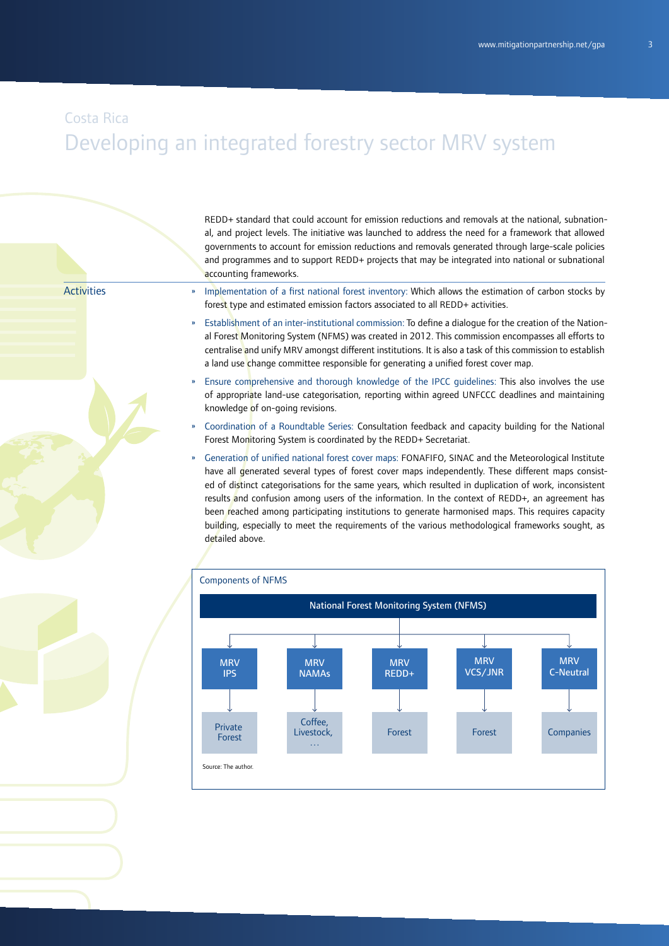#### Costa Rica

# Developing an integrated forestry sector MRV system

REDD+ standard that could account for emission reductions and removals at the national, subnational, and project levels. The initiative was launched to address the need for a framework that allowed governments to account for emission reductions and removals generated through large-scale policies and programmes and to support REDD+ projects that may be integrated into national or subnational accounting frameworks.

**Activities** 

- » Implementation of a first national forest inventory: Which allows the estimation of carbon stocks by forest type and estimated emission factors associated to all REDD+ activities.
- » Establishment of an inter-institutional commission: To define a dialogue for the creation of the National Forest Monitoring System (NFMS) was created in 2012. This commission encompasses all efforts to centralise and unify MRV amongst different institutions. It is also a task of this commission to establish a land use change committee responsible for generating a unified forest cover map.
- » Ensure comprehensive and thorough knowledge of the IPCC guidelines: This also involves the use of appropriate land-use categorisation, reporting within agreed UNFCCC deadlines and maintaining knowledge of on-going revisions.
- » Coordination of a Roundtable Series: Consultation feedback and capacity building for the National Forest Monitoring System is coordinated by the REDD+ Secretariat.
- » Generation of unified national forest cover maps: FONAFIFO, SINAC and the Meteorological Institute have all generated several types of forest cover maps independently. These different maps consisted of distinct categorisations for the same years, which resulted in duplication of work, inconsistent results and confusion among users of the information. In the context of REDD+, an agreement has been reached among participating institutions to generate harmonised maps. This requires capacity building, especially to meet the requirements of the various methodological frameworks sought, as detailed above.

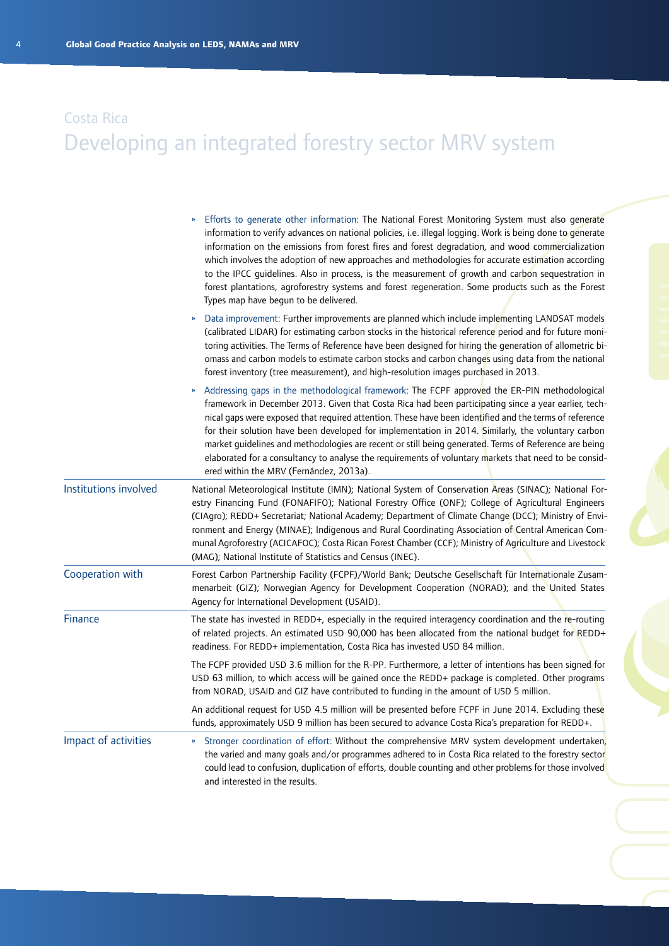|                       | Efforts to generate other information: The National Forest Monitoring System must also generate<br>information to verify advances on national policies, i.e. illegal logging. Work is being done to generate<br>information on the emissions from forest fires and forest degradation, and wood commercialization<br>which involves the adoption of new approaches and methodologies for accurate estimation according<br>to the IPCC guidelines. Also in process, is the measurement of growth and carbon sequestration in<br>forest plantations, agroforestry systems and forest regeneration. Some products such as the Forest<br>Types map have begun to be delivered.             |
|-----------------------|----------------------------------------------------------------------------------------------------------------------------------------------------------------------------------------------------------------------------------------------------------------------------------------------------------------------------------------------------------------------------------------------------------------------------------------------------------------------------------------------------------------------------------------------------------------------------------------------------------------------------------------------------------------------------------------|
|                       | Data improvement: Further improvements are planned which include implementing LANDSAT models<br>(calibrated LIDAR) for estimating carbon stocks in the historical reference period and for future moni-<br>toring activities. The Terms of Reference have been designed for hiring the generation of allometric bi-<br>omass and carbon models to estimate carbon stocks and carbon changes using data from the national<br>forest inventory (tree measurement), and high-resolution images purchased in 2013.                                                                                                                                                                         |
|                       | Addressing gaps in the methodological framework: The FCPF approved the ER-PIN methodological<br>»<br>framework in December 2013. Given that Costa Rica had been participating since a year earlier, tech-<br>nical gaps were exposed that required attention. These have been identified and the terms of reference<br>for their solution have been developed for implementation in 2014. Similarly, the voluntary carbon<br>market guidelines and methodologies are recent or still being generated. Terms of Reference are being<br>elaborated for a consultancy to analyse the requirements of voluntary markets that need to be consid-<br>ered within the MRV (Fernández, 2013a). |
| Institutions involved | National Meteorological Institute (IMN); National System of Conservation Areas (SINAC); National For-<br>estry Financing Fund (FONAFIFO); National Forestry Office (ONF); College of Agricultural Engineers<br>(CIAgro); REDD+ Secretariat; National Academy; Department of Climate Change (DCC); Ministry of Envi-<br>ronment and Energy (MINAE); Indigenous and Rural Coordinating Association of Central American Com-<br>munal Agroforestry (ACICAFOC); Costa Rican Forest Chamber (CCF); Ministry of Agriculture and Livestock<br>(MAG); National Institute of Statistics and Census (INEC).                                                                                      |
| Cooperation with      | Forest Carbon Partnership Facility (FCPF)/World Bank; Deutsche Gesellschaft für Internationale Zusam-<br>menarbeit (GIZ); Norwegian Agency for Development Cooperation (NORAD); and the United States<br>Agency for International Development (USAID).                                                                                                                                                                                                                                                                                                                                                                                                                                 |
| Finance               | The state has invested in REDD+, especially in the required interagency coordination and the re-routing<br>of related projects. An estimated USD 90,000 has been allocated from the national budget for REDD+<br>readiness. For REDD+ implementation, Costa Rica has invested USD 84 million.                                                                                                                                                                                                                                                                                                                                                                                          |
|                       | The FCPF provided USD 3.6 million for the R-PP. Furthermore, a letter of intentions has been signed for<br>USD 63 million, to which access will be gained once the REDD+ package is completed. Other programs<br>from NORAD, USAID and GIZ have contributed to funding in the amount of USD 5 million.                                                                                                                                                                                                                                                                                                                                                                                 |
|                       | An additional request for USD 4.5 million will be presented before FCPF in June 2014. Excluding these<br>funds, approximately USD 9 million has been secured to advance Costa Rica's preparation for REDD+.                                                                                                                                                                                                                                                                                                                                                                                                                                                                            |
| Impact of activities  | Stronger coordination of effort: Without the comprehensive MRV system development undertaken,<br>the varied and many goals and/or programmes adhered to in Costa Rica related to the forestry sector<br>could lead to confusion, duplication of efforts, double counting and other problems for those involved<br>and interested in the results.                                                                                                                                                                                                                                                                                                                                       |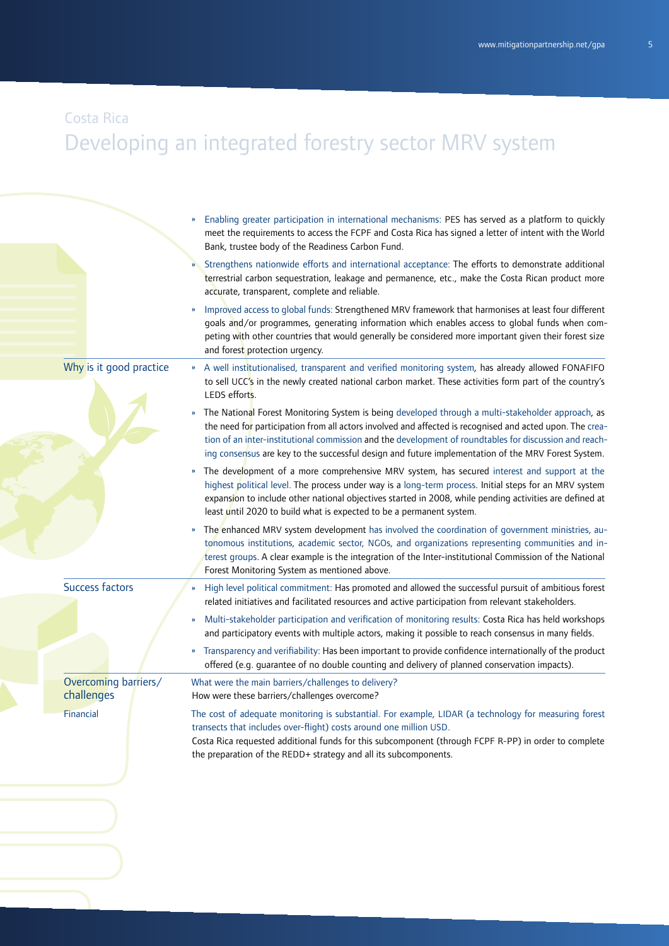#### Costa Rica

# Developing an integrated forestry sector MRV system

|                         | Enabling greater participation in international mechanisms: PES has served as a platform to quickly<br>meet the requirements to access the FCPF and Costa Rica has signed a letter of intent with the World<br>Bank, trustee body of the Readiness Carbon Fund.                                                                                                                                                                    |
|-------------------------|------------------------------------------------------------------------------------------------------------------------------------------------------------------------------------------------------------------------------------------------------------------------------------------------------------------------------------------------------------------------------------------------------------------------------------|
|                         | Strengthens nationwide efforts and international acceptance: The efforts to demonstrate additional<br>terrestrial carbon sequestration, leakage and permanence, etc., make the Costa Rican product more<br>accurate, transparent, complete and reliable.                                                                                                                                                                           |
|                         | Improved access to global funds: Strengthened MRV framework that harmonises at least four different<br>goals and/or programmes, generating information which enables access to global funds when com-<br>peting with other countries that would generally be considered more important given their forest size<br>and forest protection urgency.                                                                                   |
| Why is it good practice | A well institutionalised, transparent and verified monitoring system, has already allowed FONAFIFO<br>$\mathbf{w}$<br>to sell UCC's in the newly created national carbon market. These activities form part of the country's<br>LEDS efforts.                                                                                                                                                                                      |
|                         | The National Forest Monitoring System is being developed through a multi-stakeholder approach, as<br>»<br>the need for participation from all actors involved and affected is recognised and acted upon. The crea-<br>tion of an inter-institutional commission and the development of roundtables for discussion and reach-<br>ing consensus are key to the successful design and future implementation of the MRV Forest System. |
|                         | The development of a more comprehensive MRV system, has secured interest and support at the<br>»<br>highest political level. The process under way is a long-term process. Initial steps for an MRV system<br>expansion to include other national objectives started in 2008, while pending activities are defined at<br>least until 2020 to build what is expected to be a permanent system.                                      |
|                         | The enhanced MRV system development has involved the coordination of government ministries, au-<br>$\boldsymbol{\mathcal{W}}$<br>tonomous institutions, academic sector, NGOs, and organizations representing communities and in-<br>terest groups. A clear example is the integration of the Inter-institutional Commission of the National<br>Forest Monitoring System as mentioned above.                                       |
| <b>Success factors</b>  | High level political commitment: Has promoted and allowed the successful pursuit of ambitious forest<br>»<br>related initiatives and facilitated resources and active participation from relevant stakeholders.                                                                                                                                                                                                                    |
|                         | Multi-stakeholder participation and verification of monitoring results: Costa Rica has held workshops<br>»<br>and participatory events with multiple actors, making it possible to reach consensus in many fields.                                                                                                                                                                                                                 |
|                         | Transparency and verifiability: Has been important to provide confidence internationally of the product<br>$\boldsymbol{\mathcal{V}}$<br>offered (e.g. guarantee of no double counting and delivery of planned conservation impacts).                                                                                                                                                                                              |
| Overcoming barriers/    | What were the main barriers/challenges to delivery?                                                                                                                                                                                                                                                                                                                                                                                |
| challenges              | How were these barriers/challenges overcome?                                                                                                                                                                                                                                                                                                                                                                                       |
| Financial               | The cost of adequate monitoring is substantial. For example, LIDAR (a technology for measuring forest<br>transects that includes over-flight) costs around one million USD.<br>Costa Rica requested additional funds for this subcomponent (through FCPF R-PP) in order to complete<br>the preparation of the REDD+ strategy and all its subcomponents.                                                                            |
|                         |                                                                                                                                                                                                                                                                                                                                                                                                                                    |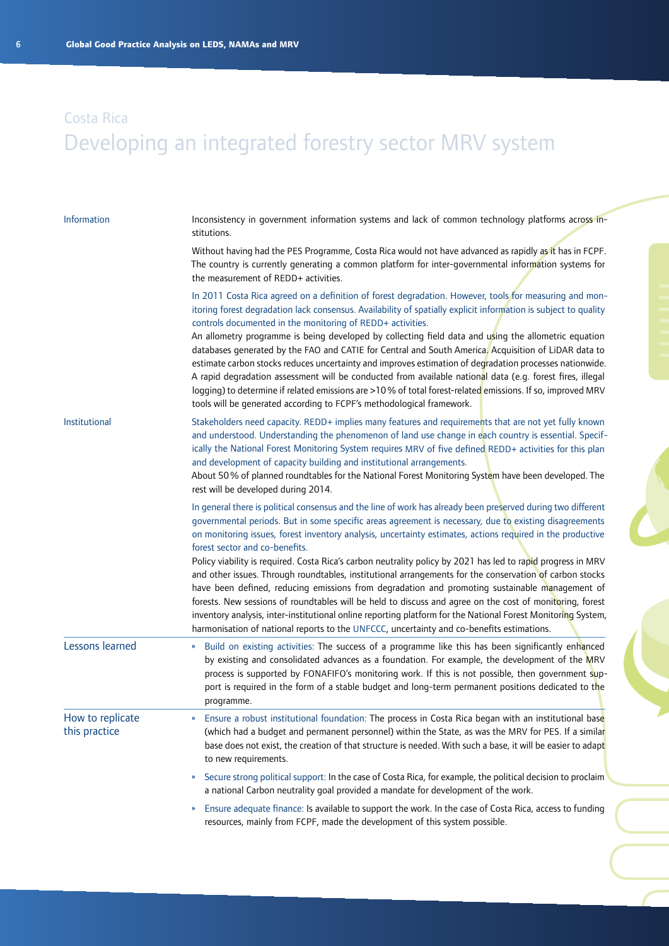| Information                       | Inconsistency in government information systems and lack of common technology platforms across in-<br>stitutions.                                                                                                                                                                                                                                                                                                                                                                                                                                                                                                                                                                                                                                                                                                                                                                                                                                                                                                            |
|-----------------------------------|------------------------------------------------------------------------------------------------------------------------------------------------------------------------------------------------------------------------------------------------------------------------------------------------------------------------------------------------------------------------------------------------------------------------------------------------------------------------------------------------------------------------------------------------------------------------------------------------------------------------------------------------------------------------------------------------------------------------------------------------------------------------------------------------------------------------------------------------------------------------------------------------------------------------------------------------------------------------------------------------------------------------------|
|                                   | Without having had the PES Programme, Costa Rica would not have advanced as rapidly as it has in FCPF.<br>The country is currently generating a common platform for inter-governmental information systems for<br>the measurement of REDD+ activities.                                                                                                                                                                                                                                                                                                                                                                                                                                                                                                                                                                                                                                                                                                                                                                       |
|                                   | In 2011 Costa Rica agreed on a definition of forest degradation. However, tools for measuring and mon-<br>itoring forest degradation lack consensus. Availability of spatially explicit information is subject to quality<br>controls documented in the monitoring of REDD+ activities.<br>An allometry programme is being developed by collecting field data and using the allometric equation<br>databases generated by the FAO and CATIE for Central and South America. Acquisition of LiDAR data to<br>estimate carbon stocks reduces uncertainty and improves estimation of degradation processes nationwide.<br>A rapid degradation assessment will be conducted from available national data (e.g. forest fires, illegal<br>logging) to determine if related emissions are >10% of total forest-related emissions. If so, improved MRV<br>tools will be generated according to FCPF's methodological framework.                                                                                                       |
| Institutional                     | Stakeholders need capacity. REDD+ implies many features and requirements that are not yet fully known<br>and understood. Understanding the phenomenon of land use change in each country is essential. Specif-<br>ically the National Forest Monitoring System requires MRV of five defined REDD+ activities for this plan<br>and development of capacity building and institutional arrangements.<br>About 50% of planned roundtables for the National Forest Monitoring System have been developed. The<br>rest will be developed during 2014.                                                                                                                                                                                                                                                                                                                                                                                                                                                                             |
|                                   | In general there is political consensus and the line of work has already been preserved during two different<br>governmental periods. But in some specific areas agreement is necessary, due to existing disagreements<br>on monitoring issues, forest inventory analysis, uncertainty estimates, actions required in the productive<br>forest sector and co-benefits.<br>Policy viability is required. Costa Rica's carbon neutrality policy by 2021 has led to rapid progress in MRV<br>and other issues. Through roundtables, institutional arrangements for the conservation of carbon stocks<br>have been defined, reducing emissions from degradation and promoting sustainable management of<br>forests. New sessions of roundtables will be held to discuss and agree on the cost of monitoring, forest<br>inventory analysis, inter-institutional online reporting platform for the National Forest Monitoring System,<br>harmonisation of national reports to the UNFCCC, uncertainty and co-benefits estimations. |
| Lessons learned                   | Build on existing activities: The success of a programme like this has been significantly enhanced<br>$\boldsymbol{\mathcal{D}}$<br>by existing and consolidated advances as a foundation. For example, the development of the MRV<br>process is supported by FONAFIFO's monitoring work. If this is not possible, then government sup-<br>port is required in the form of a stable budget and long-term permanent positions dedicated to the<br>programme.                                                                                                                                                                                                                                                                                                                                                                                                                                                                                                                                                                  |
| How to replicate<br>this practice | Ensure a robust institutional foundation: The process in Costa Rica began with an institutional base<br>(which had a budget and permanent personnel) within the State, as was the MRV for PES. If a similar<br>base does not exist, the creation of that structure is needed. With such a base, it will be easier to adapt<br>to new requirements.                                                                                                                                                                                                                                                                                                                                                                                                                                                                                                                                                                                                                                                                           |
|                                   | Secure strong political support: In the case of Costa Rica, for example, the political decision to proclaim<br>$\boldsymbol{\nu}$<br>a national Carbon neutrality goal provided a mandate for development of the work.                                                                                                                                                                                                                                                                                                                                                                                                                                                                                                                                                                                                                                                                                                                                                                                                       |
|                                   | Ensure adequate finance: Is available to support the work. In the case of Costa Rica, access to funding<br>$\boldsymbol{\mathcal{V}}$<br>resources, mainly from FCPF, made the development of this system possible.                                                                                                                                                                                                                                                                                                                                                                                                                                                                                                                                                                                                                                                                                                                                                                                                          |